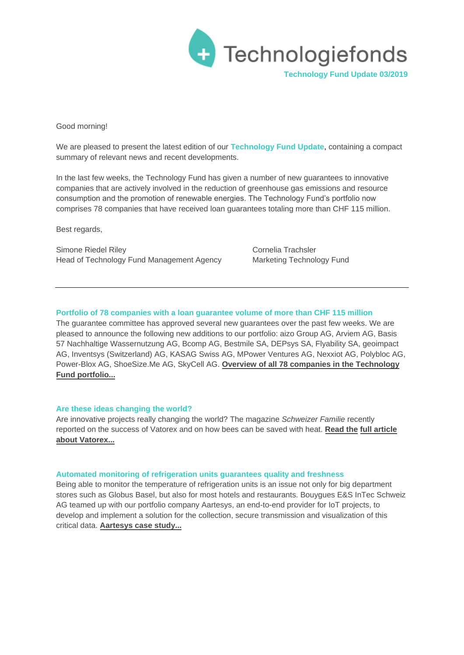

Good morning!

We are pleased to present the latest edition of our **Technology Fund Update**, containing a compact summary of relevant news and recent developments.

In the last few weeks, the Technology Fund has given a number of new guarantees to innovative companies that are actively involved in the reduction of greenhouse gas emissions and resource consumption and the promotion of renewable energies. The Technology Fund's portfolio now comprises 78 companies that have received loan guarantees totaling more than CHF 115 million.

Best regards,

Simone Riedel Riley Cornelia Trachsler Head of Technology Fund Management Agency Marketing Technology Fund

# **Portfolio of 78 companies with a loan guarantee volume of more than CHF 115 million**

The guarantee committee has approved several new guarantees over the past few weeks. We are pleased to announce the following new additions to our portfolio: aizo Group AG, Arviem AG, Basis 57 Nachhaltige Wassernutzung AG, Bcomp AG, Bestmile SA, DEPsys SA, Flyability SA, geoimpact AG, Inventsys (Switzerland) AG, KASAG Swiss AG, MPower Ventures AG, Nexxiot AG, Polybloc AG, Power-Blox AG, ShoeSize.Me AG, SkyCell AG. **[Overview of all 78 companies in the Technology](http://www.technologyfund.ch/portfolio/) [Fund portfolio...](http://www.technologyfund.ch/portfolio/)**

## **Are these ideas changing the world?**

Are innovative projects really changing the world? The magazine *Schweizer Familie* recently reported on the success of Vatorex and on how bees can be saved with heat. **Read the fu[ll article](http://www.technologiefonds.ch/fileadmin/user_upload/presse/2019/2019.07.11_Mit_Waerme_die_Bienen_retten__Vatorex_.pdf)  [about Vatorex...](http://www.technologiefonds.ch/fileadmin/user_upload/presse/2019/2019.07.11_Mit_Waerme_die_Bienen_retten__Vatorex_.pdf)** 

#### **Automated monitoring of refrigeration units guarantees quality and freshness**

Being able to monitor the temperature of refrigeration units is an issue not only for big department stores such as Globus Basel, but also for most hotels and restaurants. Bouygues E&S InTec Schweiz AG teamed up with our portfolio company Aartesys, an end-to-end provider for IoT projects, to develop and implement a solution for the collection, secure transmission and visualization of this critical data. **[Aartesys case study...](http://www.technologiefonds.ch/fileadmin/user_upload/presse/2019/2019.09.12_Aartesys_Autom._Kuehlstellenueberwachung)**